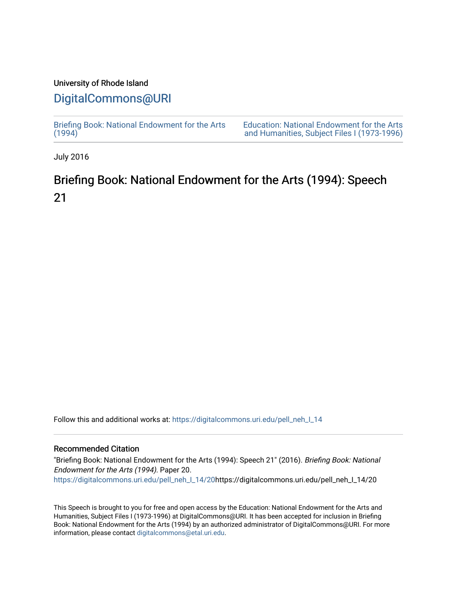### University of Rhode Island

## [DigitalCommons@URI](https://digitalcommons.uri.edu/)

[Briefing Book: National Endowment for the Arts](https://digitalcommons.uri.edu/pell_neh_I_14)  $(1994)$ [Education: National Endowment for the Arts](https://digitalcommons.uri.edu/pell_neh_I)  [and Humanities, Subject Files I \(1973-1996\)](https://digitalcommons.uri.edu/pell_neh_I) 

July 2016

# Briefing Book: National Endowment for the Arts (1994): Speech 21

Follow this and additional works at: [https://digitalcommons.uri.edu/pell\\_neh\\_I\\_14](https://digitalcommons.uri.edu/pell_neh_I_14?utm_source=digitalcommons.uri.edu%2Fpell_neh_I_14%2F20&utm_medium=PDF&utm_campaign=PDFCoverPages) 

#### Recommended Citation

"Briefing Book: National Endowment for the Arts (1994): Speech 21" (2016). Briefing Book: National Endowment for the Arts (1994). Paper 20. [https://digitalcommons.uri.edu/pell\\_neh\\_I\\_14/20h](https://digitalcommons.uri.edu/pell_neh_I_14/20?utm_source=digitalcommons.uri.edu%2Fpell_neh_I_14%2F20&utm_medium=PDF&utm_campaign=PDFCoverPages)ttps://digitalcommons.uri.edu/pell\_neh\_I\_14/20

This Speech is brought to you for free and open access by the Education: National Endowment for the Arts and Humanities, Subject Files I (1973-1996) at DigitalCommons@URI. It has been accepted for inclusion in Briefing Book: National Endowment for the Arts (1994) by an authorized administrator of DigitalCommons@URI. For more information, please contact [digitalcommons@etal.uri.edu.](mailto:digitalcommons@etal.uri.edu)